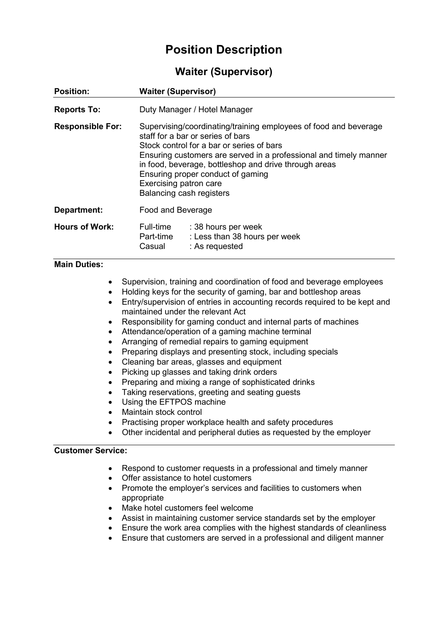# **Position Description**

## **Waiter (Supervisor)**

| <b>Position:</b>                                                                                                                                                                | <b>Waiter (Supervisor)</b>                                                                                                                                                                                                                                                                                                                                                  |                                                                                                                                                                                                                                                                                                                                                                                                                                                                                                                                                                                                                                                                                                                                                                                                                                                      |
|---------------------------------------------------------------------------------------------------------------------------------------------------------------------------------|-----------------------------------------------------------------------------------------------------------------------------------------------------------------------------------------------------------------------------------------------------------------------------------------------------------------------------------------------------------------------------|------------------------------------------------------------------------------------------------------------------------------------------------------------------------------------------------------------------------------------------------------------------------------------------------------------------------------------------------------------------------------------------------------------------------------------------------------------------------------------------------------------------------------------------------------------------------------------------------------------------------------------------------------------------------------------------------------------------------------------------------------------------------------------------------------------------------------------------------------|
| <b>Reports To:</b>                                                                                                                                                              | Duty Manager / Hotel Manager                                                                                                                                                                                                                                                                                                                                                |                                                                                                                                                                                                                                                                                                                                                                                                                                                                                                                                                                                                                                                                                                                                                                                                                                                      |
| <b>Responsible For:</b>                                                                                                                                                         | Supervising/coordinating/training employees of food and beverage<br>staff for a bar or series of bars<br>Stock control for a bar or series of bars<br>Ensuring customers are served in a professional and timely manner<br>in food, beverage, bottleshop and drive through areas<br>Ensuring proper conduct of gaming<br>Exercising patron care<br>Balancing cash registers |                                                                                                                                                                                                                                                                                                                                                                                                                                                                                                                                                                                                                                                                                                                                                                                                                                                      |
| <b>Department:</b>                                                                                                                                                              | Food and Beverage                                                                                                                                                                                                                                                                                                                                                           |                                                                                                                                                                                                                                                                                                                                                                                                                                                                                                                                                                                                                                                                                                                                                                                                                                                      |
| <b>Hours of Work:</b>                                                                                                                                                           | Part-time<br>Casual                                                                                                                                                                                                                                                                                                                                                         | Full-time : 38 hours per week<br>: Less than 38 hours per week<br>: As requested                                                                                                                                                                                                                                                                                                                                                                                                                                                                                                                                                                                                                                                                                                                                                                     |
| <b>Main Duties:</b><br>$\bullet$<br>$\bullet$<br>$\bullet$<br>$\bullet$<br>$\bullet$<br>$\bullet$<br>$\bullet$<br>$\bullet$<br>$\bullet$<br>$\bullet$<br>$\bullet$<br>$\bullet$ | Using the EFTPOS machine<br>Maintain stock control                                                                                                                                                                                                                                                                                                                          | Supervision, training and coordination of food and beverage employees<br>Holding keys for the security of gaming, bar and bottleshop areas<br>Entry/supervision of entries in accounting records required to be kept and<br>maintained under the relevant Act<br>Responsibility for gaming conduct and internal parts of machines<br>Attendance/operation of a gaming machine terminal<br>Arranging of remedial repairs to gaming equipment<br>Preparing displays and presenting stock, including specials<br>Cleaning bar areas, glasses and equipment<br>Picking up glasses and taking drink orders<br>Preparing and mixing a range of sophisticated drinks<br>Taking reservations, greeting and seating guests<br>Practising proper workplace health and safety procedures<br>Other incidental and peripheral duties as requested by the employer |
| <b>Customer Service:</b>                                                                                                                                                        |                                                                                                                                                                                                                                                                                                                                                                             | Respond to customer requests in a professional and timely manner<br>Offer assistance to hotel customers<br>Promote the employer's services and facilities to customers when                                                                                                                                                                                                                                                                                                                                                                                                                                                                                                                                                                                                                                                                          |

- appropriate
- Make hotel customers feel welcome
- Assist in maintaining customer service standards set by the employer
- Ensure the work area complies with the highest standards of cleanliness
- Ensure that customers are served in a professional and diligent manner